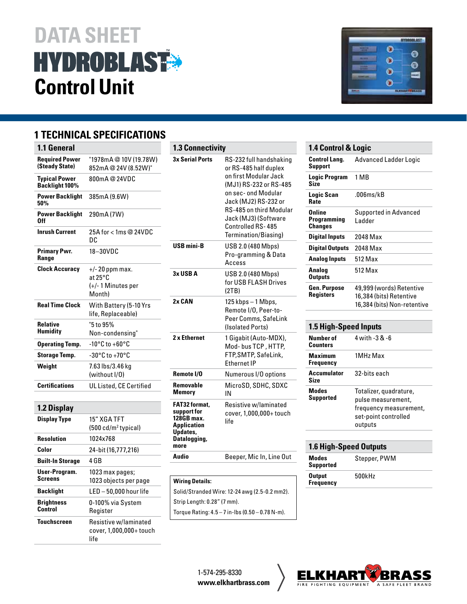# **DATA SHEET<br>HYDROBLAST® Control Unit**

# **1 TECHNICAL SPECIFICATIONS**

| 1.1 General                                   |                                                              |
|-----------------------------------------------|--------------------------------------------------------------|
| <b>Required Power</b><br>(Steady State)       | "1978mA@10V(19.78W)<br>852mA@24V(8.52W)"                     |
| <b>Typical Power</b><br><b>Backlight 100%</b> | 800mA@24VDC                                                  |
| <b>Power Backlight</b><br>50%                 | 385mA (9.6W)                                                 |
| <b>Power Backlight</b><br>Nff                 | 290mA (7W)                                                   |
| <b>Inrush Current</b>                         | 25A for < 1ms @ 24VDC<br>DC.                                 |
| <b>Primary Pwr.</b><br>Range                  | 18-30VDC                                                     |
| <b>Clock Accuracy</b>                         | $+/- 20$ ppm max.<br>at 25°C<br>(+/- 1 Minutes per<br>Month) |
| <b>Real Time Clock</b>                        | With Battery (5-10 Yrs<br>life, Replaceable)                 |
| <b>Relative</b><br>Humidity                   | "5 to 95%<br>Non-condensing"                                 |
| <b>Operating Temp.</b>                        | $-10^{\circ}$ C to $+60^{\circ}$ C                           |
| <b>Storage Temp.</b>                          | -30°C to +70°C                                               |
| Weight                                        | 7.63 lbs/3.46 kg<br>(without I/O)                            |
| <b>Certifications</b>                         | UL Listed, CE Certified                                      |
|                                               |                                                              |
| <b>1.2 Display</b>                            |                                                              |
| Display Type                                  | 15" XGA TFT<br>(500 cd/m <sup>2</sup> typical)               |

| 15" XGA TFT<br>$(500 \text{ cd/m}^2 \text{ typical})$    |
|----------------------------------------------------------|
| 1024x768                                                 |
| 24-bit (16,777,216)                                      |
| 4 GB                                                     |
| 1023 max pages;<br>1023 objects per page                 |
| LED - 50.000 hour life                                   |
| 0-100% via System<br>Register                            |
| Resistive w/laminated<br>cover, 1,000,000+ touch<br>life |
|                                                          |

| <b>1.3 Connectivity</b>                                                                                     |                                                                                                                                                                                                                                                    |
|-------------------------------------------------------------------------------------------------------------|----------------------------------------------------------------------------------------------------------------------------------------------------------------------------------------------------------------------------------------------------|
| <b>3x Serial Ports</b>                                                                                      | RS-232 full handshaking<br>or RS-485 half duplex<br>on first Modular Jack<br>(MJ1) RS-232 or RS-485<br>on sec- ond Modular<br>Jack (MJ2) RS-232 or<br>RS-485 on third Modular<br>Jack (MJ3) (Software<br>Controlled RS-485<br>Termination/Biasing) |
| USB mini-B                                                                                                  | USB 2.0 (480 Mbps)<br>Pro-gramming & Data<br>Access                                                                                                                                                                                                |
| 3x USB A                                                                                                    | USB 2.0 (480 Mbps)<br>for USB FLASH Drives<br>(2TB)                                                                                                                                                                                                |
| 2x CAN                                                                                                      | 125 kbps - 1 Mbps,<br>Remote I/O, Peer-to-<br>Peer Comms, SafeLink<br>(Isolated Ports)                                                                                                                                                             |
| 2 x Ethernet                                                                                                | 1 Gigabit (Auto-MDX),<br>Mod-bus TCP, HTTP,<br>FTP, SMTP, SafeLink,<br><b>Fthernet IP</b>                                                                                                                                                          |
| Remote I/O                                                                                                  | Numerous I/O options                                                                                                                                                                                                                               |
| Removable<br>Memorv                                                                                         | MicroSD, SDHC, SDXC<br>ΙN                                                                                                                                                                                                                          |
| <b>FAT32 format.</b><br>support for<br>128GB max.<br><b>Application</b><br>Updates,<br>Datalogging,<br>more | Resistive w/laminated<br>cover, 1,000,000+ touch<br>life                                                                                                                                                                                           |
| Audio                                                                                                       | Beeper, Mic In, Line Out                                                                                                                                                                                                                           |

## **Wiring Details:**

| Solid/Stranded Wire: 12-24 awg (2.5-0.2 mm2).    |
|--------------------------------------------------|
| Strip Lenath: 0.28" (7 mm).                      |
| Toraue Ratina: 4.5 – 7 in-lbs (0.50 – 0.78 N-m). |



| 1.4 Control & Logic                     |                                                                                    |
|-----------------------------------------|------------------------------------------------------------------------------------|
| <b>Control Lang.</b><br>Support         | Advanced Ladder Logic                                                              |
| <b>Logic Program</b><br>Size            | 1 MB                                                                               |
| Logic Scan<br>Rate                      | .006ms/kB                                                                          |
| Online<br>Programming<br><b>Changes</b> | Supported in Advanced<br>I adder                                                   |
| <b>Digital Inputs</b>                   | 2048 Max                                                                           |
| <b>Digital Outputs</b>                  | 2048 Max                                                                           |
| <b>Analog Inputs</b>                    | 512 Max                                                                            |
| Analog<br><b>Outputs</b>                | 512 Max                                                                            |
| Gen. Purpose<br>Registers               | 49,999 (words) Retentive<br>16,384 (bits) Retentive<br>16,384 (bits) Non-retentive |

#### **1.5 High-Speed Inputs**

| Number of<br>Counters | 4 with -3 & -6                                                                                            |
|-----------------------|-----------------------------------------------------------------------------------------------------------|
| Maximum<br>Frequency  | 1MHz Max                                                                                                  |
| Accumulator<br>Size   | 32-bits each                                                                                              |
| Modes<br>Supported    | Totalizer, quadrature,<br>pulse measurement,<br>frequency measurement,<br>set-point controlled<br>outputs |
|                       |                                                                                                           |

| <b>1.6 High-Speed Outputs</b>     |              |
|-----------------------------------|--------------|
| <b>Modes</b><br><b>Supported</b>  | Stepper, PWM |
| <b>Output</b><br><b>Frequency</b> | 500kHz       |